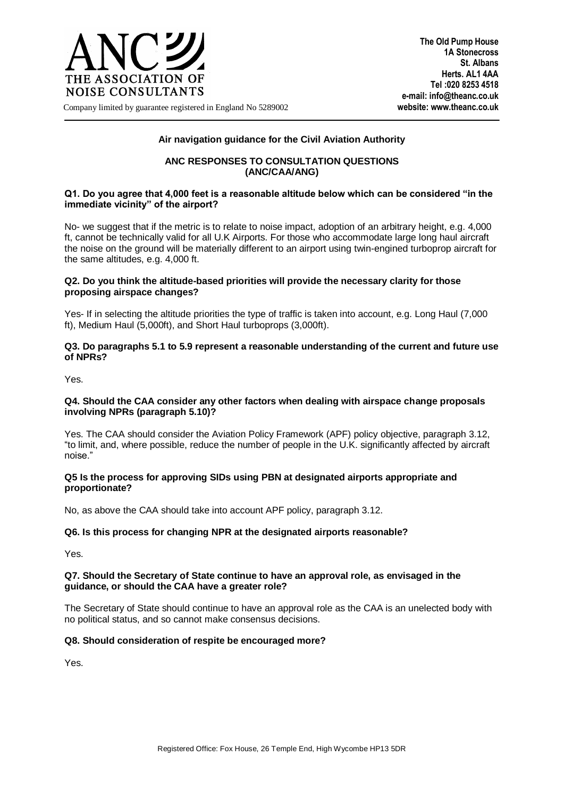

**The Old Pump House 1A Stonecross St. Albans Herts. AL1 4AA Tel :020 8253 4518 e-mail: info@theanc.co.uk**

Company limited by guarantee registered in England No 5289002 **website: www.theanc.co.uk**

## **Air navigation guidance for the Civil Aviation Authority**

## **ANC RESPONSES TO CONSULTATION QUESTIONS (ANC/CAA/ANG)**

#### **Q1. Do you agree that 4,000 feet is a reasonable altitude below which can be considered "in the immediate vicinity" of the airport?**

No- we suggest that if the metric is to relate to noise impact, adoption of an arbitrary height, e.g. 4,000 ft, cannot be technically valid for all U.K Airports. For those who accommodate large long haul aircraft the noise on the ground will be materially different to an airport using twin-engined turboprop aircraft for the same altitudes, e.g. 4,000 ft.

## **Q2. Do you think the altitude-based priorities will provide the necessary clarity for those proposing airspace changes?**

Yes- If in selecting the altitude priorities the type of traffic is taken into account, e.g. Long Haul (7,000 ft), Medium Haul (5,000ft), and Short Haul turboprops (3,000ft).

#### **Q3. Do paragraphs 5.1 to 5.9 represent a reasonable understanding of the current and future use of NPRs?**

Yes.

#### **Q4. Should the CAA consider any other factors when dealing with airspace change proposals involving NPRs (paragraph 5.10)?**

Yes. The CAA should consider the Aviation Policy Framework (APF) policy objective, paragraph 3.12, "to limit, and, where possible, reduce the number of people in the U.K. significantly affected by aircraft noise."

## **Q5 Is the process for approving SIDs using PBN at designated airports appropriate and proportionate?**

No, as above the CAA should take into account APF policy, paragraph 3.12.

# **Q6. Is this process for changing NPR at the designated airports reasonable?**

Yes.

## **Q7. Should the Secretary of State continue to have an approval role, as envisaged in the guidance, or should the CAA have a greater role?**

The Secretary of State should continue to have an approval role as the CAA is an unelected body with no political status, and so cannot make consensus decisions.

# **Q8. Should consideration of respite be encouraged more?**

Yes.